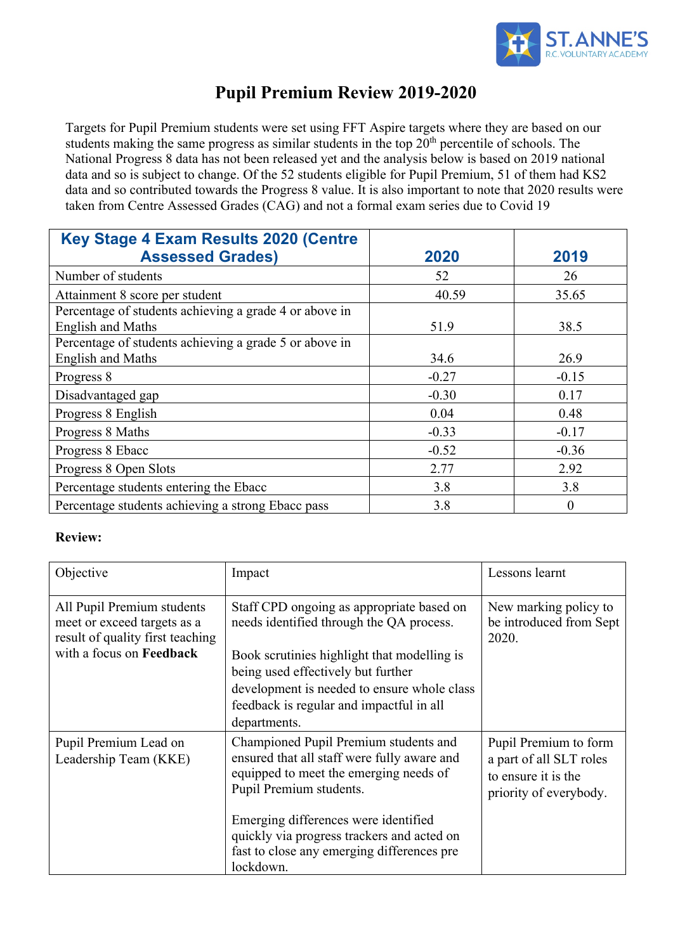

# **Pupil Premium Review 2019-2020**

Targets for Pupil Premium students were set using FFT Aspire targets where they are based on our students making the same progress as similar students in the top  $20<sup>th</sup>$  percentile of schools. The National Progress 8 data has not been released yet and the analysis below is based on 2019 national data and so is subject to change. Of the 52 students eligible for Pupil Premium, 51 of them had KS2 data and so contributed towards the Progress 8 value. It is also important to note that 2020 results were taken from Centre Assessed Grades (CAG) and not a formal exam series due to Covid 19

| Key Stage 4 Exam Results 2020 (Centre                  |         |          |
|--------------------------------------------------------|---------|----------|
| <b>Assessed Grades)</b>                                | 2020    | 2019     |
| Number of students                                     | 52      | 26       |
| Attainment 8 score per student                         | 40.59   | 35.65    |
| Percentage of students achieving a grade 4 or above in |         |          |
| <b>English and Maths</b>                               | 51.9    | 38.5     |
| Percentage of students achieving a grade 5 or above in |         |          |
| <b>English and Maths</b>                               | 34.6    | 26.9     |
| Progress 8                                             | $-0.27$ | $-0.15$  |
| Disadvantaged gap                                      | $-0.30$ | 0.17     |
| Progress 8 English                                     | 0.04    | 0.48     |
| Progress 8 Maths                                       | $-0.33$ | $-0.17$  |
| Progress 8 Ebacc                                       | $-0.52$ | $-0.36$  |
| Progress 8 Open Slots                                  | 2.77    | 2.92     |
| Percentage students entering the Ebacc                 | 3.8     | 3.8      |
| Percentage students achieving a strong Ebacc pass      | 3.8     | $\theta$ |

### **Review:**

| Objective                                                                                                                 | Impact                                                                                                                                                                                                                                                                                                     | Lessons learnt                                                                                    |
|---------------------------------------------------------------------------------------------------------------------------|------------------------------------------------------------------------------------------------------------------------------------------------------------------------------------------------------------------------------------------------------------------------------------------------------------|---------------------------------------------------------------------------------------------------|
| All Pupil Premium students<br>meet or exceed targets as a<br>result of quality first teaching<br>with a focus on Feedback | Staff CPD ongoing as appropriate based on<br>needs identified through the QA process.<br>Book scrutinies highlight that modelling is<br>being used effectively but further<br>development is needed to ensure whole class<br>feedback is regular and impactful in all<br>departments.                      | New marking policy to<br>be introduced from Sept<br>2020.                                         |
| Pupil Premium Lead on<br>Leadership Team (KKE)                                                                            | Championed Pupil Premium students and<br>ensured that all staff were fully aware and<br>equipped to meet the emerging needs of<br>Pupil Premium students.<br>Emerging differences were identified<br>quickly via progress trackers and acted on<br>fast to close any emerging differences pre<br>lockdown. | Pupil Premium to form<br>a part of all SLT roles<br>to ensure it is the<br>priority of everybody. |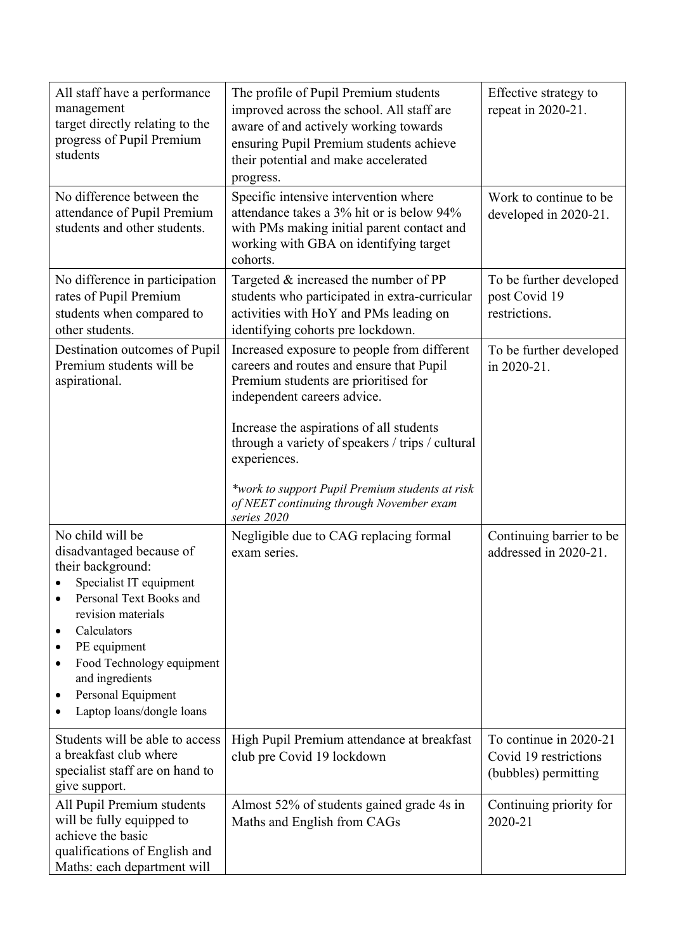| All staff have a performance<br>management<br>target directly relating to the<br>progress of Pupil Premium<br>students                                                                                                                                                                                              | The profile of Pupil Premium students<br>improved across the school. All staff are<br>aware of and actively working towards<br>ensuring Pupil Premium students achieve<br>their potential and make accelerated<br>progress.                                                                                                                                                                  | Effective strategy to<br>repeat in 2020-21.                             |
|---------------------------------------------------------------------------------------------------------------------------------------------------------------------------------------------------------------------------------------------------------------------------------------------------------------------|----------------------------------------------------------------------------------------------------------------------------------------------------------------------------------------------------------------------------------------------------------------------------------------------------------------------------------------------------------------------------------------------|-------------------------------------------------------------------------|
| No difference between the<br>attendance of Pupil Premium<br>students and other students.                                                                                                                                                                                                                            | Specific intensive intervention where<br>attendance takes a 3% hit or is below 94%<br>with PMs making initial parent contact and<br>working with GBA on identifying target<br>cohorts.                                                                                                                                                                                                       | Work to continue to be<br>developed in 2020-21.                         |
| No difference in participation<br>rates of Pupil Premium<br>students when compared to<br>other students.                                                                                                                                                                                                            | Targeted $&$ increased the number of PP<br>students who participated in extra-curricular<br>activities with HoY and PMs leading on<br>identifying cohorts pre lockdown.                                                                                                                                                                                                                      | To be further developed<br>post Covid 19<br>restrictions.               |
| Destination outcomes of Pupil<br>Premium students will be<br>aspirational.                                                                                                                                                                                                                                          | Increased exposure to people from different<br>careers and routes and ensure that Pupil<br>Premium students are prioritised for<br>independent careers advice.<br>Increase the aspirations of all students<br>through a variety of speakers / trips / cultural<br>experiences.<br>*work to support Pupil Premium students at risk<br>of NEET continuing through November exam<br>series 2020 | To be further developed<br>in 2020-21.                                  |
| No child will be<br>disadvantaged because of<br>their background:<br>Specialist IT equipment<br>Personal Text Books and<br>$\bullet$<br>revision materials<br>Calculators<br>٠<br>PE equipment<br>Food Technology equipment<br>٠<br>and ingredients<br>Personal Equipment<br>$\bullet$<br>Laptop loans/dongle loans | Negligible due to CAG replacing formal<br>exam series.                                                                                                                                                                                                                                                                                                                                       | Continuing barrier to be<br>addressed in 2020-21.                       |
| Students will be able to access<br>a breakfast club where<br>specialist staff are on hand to<br>give support.                                                                                                                                                                                                       | High Pupil Premium attendance at breakfast<br>club pre Covid 19 lockdown                                                                                                                                                                                                                                                                                                                     | To continue in 2020-21<br>Covid 19 restrictions<br>(bubbles) permitting |
| All Pupil Premium students<br>will be fully equipped to<br>achieve the basic<br>qualifications of English and<br>Maths: each department will                                                                                                                                                                        | Almost 52% of students gained grade 4s in<br>Maths and English from CAGs                                                                                                                                                                                                                                                                                                                     | Continuing priority for<br>2020-21                                      |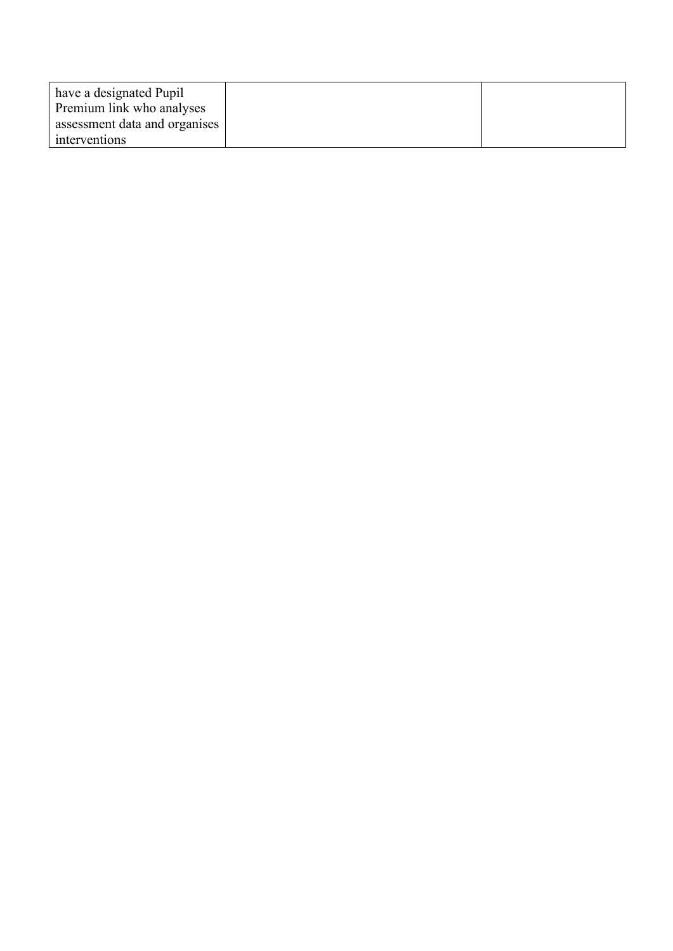| have a designated Pupil       |  |
|-------------------------------|--|
| Premium link who analyses     |  |
| assessment data and organises |  |
| interventions                 |  |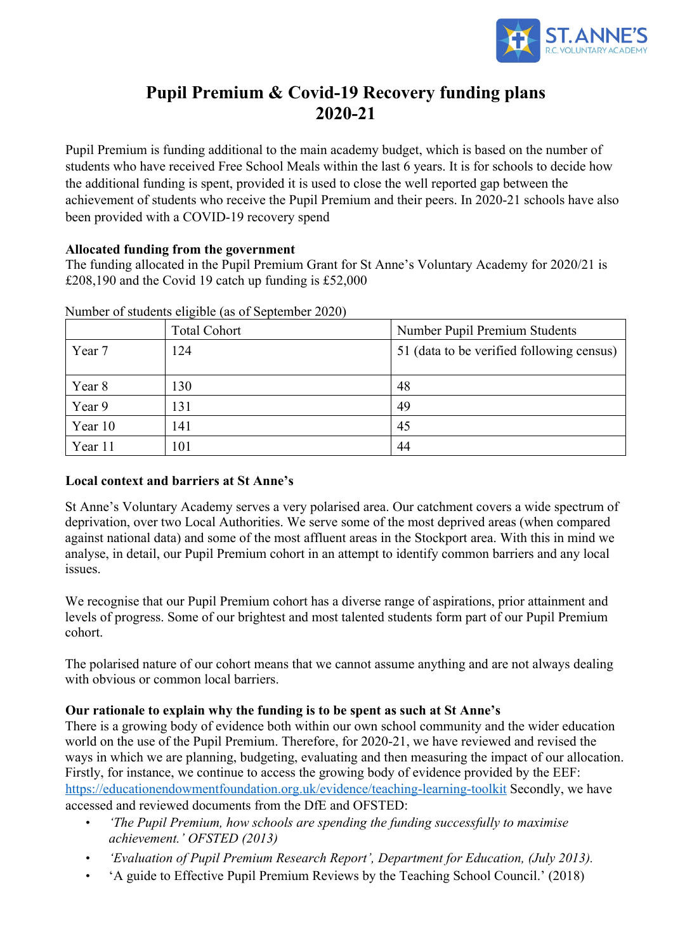

# **Pupil Premium & Covid-19 Recovery funding plans 2020-21**

Pupil Premium is funding additional to the main academy budget, which is based on the number of students who have received Free School Meals within the last 6 years. It is for schools to decide how the additional funding is spent, provided it is used to close the well reported gap between the achievement of students who receive the Pupil Premium and their peers. In 2020-21 schools have also been provided with a COVID-19 recovery spend

### **Allocated funding from the government**

The funding allocated in the Pupil Premium Grant for St Anne's Voluntary Academy for 2020/21 is £208,190 and the Covid 19 catch up funding is £52,000

|         | <b>Total Cohort</b> | Number Pupil Premium Students             |
|---------|---------------------|-------------------------------------------|
| Year 7  | 124                 | 51 (data to be verified following census) |
|         |                     |                                           |
| Year 8  | 130                 | 48                                        |
| Year 9  | 131                 | 49                                        |
| Year 10 | 141                 | 45                                        |
| Year 11 | 101                 | 44                                        |

Number of students eligible (as of September 2020)

### **Local context and barriers at St Anne's**

St Anne's Voluntary Academy serves a very polarised area. Our catchment covers a wide spectrum of deprivation, over two Local Authorities. We serve some of the most deprived areas (when compared against national data) and some of the most affluent areas in the Stockport area. With this in mind we analyse, in detail, our Pupil Premium cohort in an attempt to identify common barriers and any local issues.

We recognise that our Pupil Premium cohort has a diverse range of aspirations, prior attainment and levels of progress. Some of our brightest and most talented students form part of our Pupil Premium cohort.

The polarised nature of our cohort means that we cannot assume anything and are not always dealing with obvious or common local barriers.

### **Our rationale to explain why the funding is to be spent as such at St Anne's**

There is a growing body of evidence both within our own school community and the wider education world on the use of the Pupil Premium. Therefore, for 2020-21, we have reviewed and revised the ways in which we are planning, budgeting, evaluating and then measuring the impact of our allocation. Firstly, for instance, we continue to access the growing body of evidence provided by the EEF: https://educationendowmentfoundation.org.uk/evidence/teaching-learning-toolkit Secondly, we have accessed and reviewed documents from the DfE and OFSTED:

- *'The Pupil Premium, how schools are spending the funding successfully to maximise achievement.' OFSTED (2013)*
- *'Evaluation of Pupil Premium Research Report', Department for Education, (July 2013).*
- 'A guide to Effective Pupil Premium Reviews by the Teaching School Council.' (2018)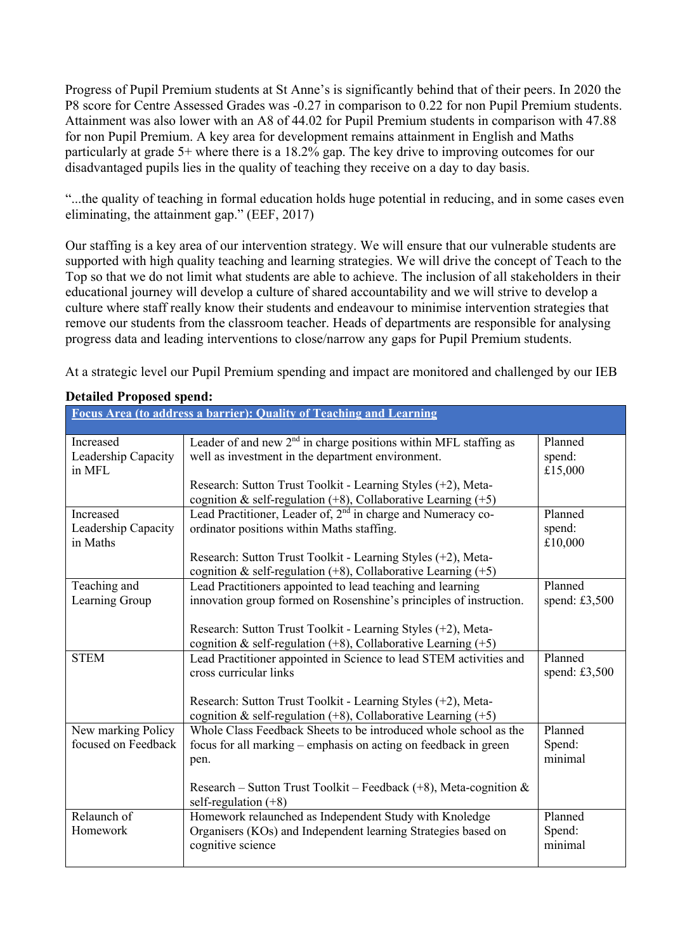Progress of Pupil Premium students at St Anne's is significantly behind that of their peers. In 2020 the P8 score for Centre Assessed Grades was -0.27 in comparison to 0.22 for non Pupil Premium students. Attainment was also lower with an A8 of 44.02 for Pupil Premium students in comparison with 47.88 for non Pupil Premium. A key area for development remains attainment in English and Maths particularly at grade 5+ where there is a 18.2% gap. The key drive to improving outcomes for our disadvantaged pupils lies in the quality of teaching they receive on a day to day basis.

"...the quality of teaching in formal education holds huge potential in reducing, and in some cases even eliminating, the attainment gap." (EEF, 2017)

Our staffing is a key area of our intervention strategy. We will ensure that our vulnerable students are supported with high quality teaching and learning strategies. We will drive the concept of Teach to the Top so that we do not limit what students are able to achieve. The inclusion of all stakeholders in their educational journey will develop a culture of shared accountability and we will strive to develop a culture where staff really know their students and endeavour to minimise intervention strategies that remove our students from the classroom teacher. Heads of departments are responsible for analysing progress data and leading interventions to close/narrow any gaps for Pupil Premium students.

At a strategic level our Pupil Premium spending and impact are monitored and challenged by our IEB

| Focus Area (to address a barrier): Quality of Teaching and Learning |                                                                                                                                    |                 |
|---------------------------------------------------------------------|------------------------------------------------------------------------------------------------------------------------------------|-----------------|
| Increased                                                           | Leader of and new 2 <sup>nd</sup> in charge positions within MFL staffing as                                                       | Planned         |
| Leadership Capacity                                                 | well as investment in the department environment.                                                                                  | spend:          |
| in MFL                                                              |                                                                                                                                    | £15,000         |
|                                                                     |                                                                                                                                    |                 |
|                                                                     | Research: Sutton Trust Toolkit - Learning Styles (+2), Meta-<br>cognition & self-regulation $(+8)$ , Collaborative Learning $(+5)$ |                 |
| Increased                                                           | Lead Practitioner, Leader of, 2 <sup>nd</sup> in charge and Numeracy co-                                                           | Planned         |
| Leadership Capacity                                                 | ordinator positions within Maths staffing.                                                                                         | spend:          |
| in Maths                                                            |                                                                                                                                    | £10,000         |
|                                                                     |                                                                                                                                    |                 |
|                                                                     | Research: Sutton Trust Toolkit - Learning Styles (+2), Meta-                                                                       |                 |
|                                                                     | cognition & self-regulation $(+8)$ , Collaborative Learning $(+5)$                                                                 | Planned         |
| Teaching and                                                        | Lead Practitioners appointed to lead teaching and learning                                                                         |                 |
| Learning Group                                                      | innovation group formed on Rosenshine's principles of instruction.                                                                 | spend: $£3,500$ |
|                                                                     |                                                                                                                                    |                 |
|                                                                     | Research: Sutton Trust Toolkit - Learning Styles (+2), Meta-                                                                       |                 |
|                                                                     | cognition & self-regulation $(+8)$ , Collaborative Learning $(+5)$                                                                 |                 |
| <b>STEM</b>                                                         | Lead Practitioner appointed in Science to lead STEM activities and                                                                 | Planned         |
|                                                                     | cross curricular links                                                                                                             | spend: $£3,500$ |
|                                                                     |                                                                                                                                    |                 |
|                                                                     | Research: Sutton Trust Toolkit - Learning Styles (+2), Meta-                                                                       |                 |
|                                                                     | cognition & self-regulation $(+8)$ , Collaborative Learning $(+5)$                                                                 |                 |
| New marking Policy                                                  | Whole Class Feedback Sheets to be introduced whole school as the                                                                   | Planned         |
| focused on Feedback                                                 | focus for all marking – emphasis on acting on feedback in green                                                                    | Spend:          |
|                                                                     | pen.                                                                                                                               | minimal         |
|                                                                     |                                                                                                                                    |                 |
|                                                                     | Research – Sutton Trust Toolkit – Feedback $(+8)$ , Meta-cognition &                                                               |                 |
|                                                                     | self-regulation $(+8)$                                                                                                             |                 |
| Relaunch of                                                         | Homework relaunched as Independent Study with Knoledge                                                                             | Planned         |
| Homework                                                            | Organisers (KOs) and Independent learning Strategies based on                                                                      | Spend:          |
|                                                                     | cognitive science                                                                                                                  | minimal         |
|                                                                     |                                                                                                                                    |                 |

#### **Detailed Proposed spend:**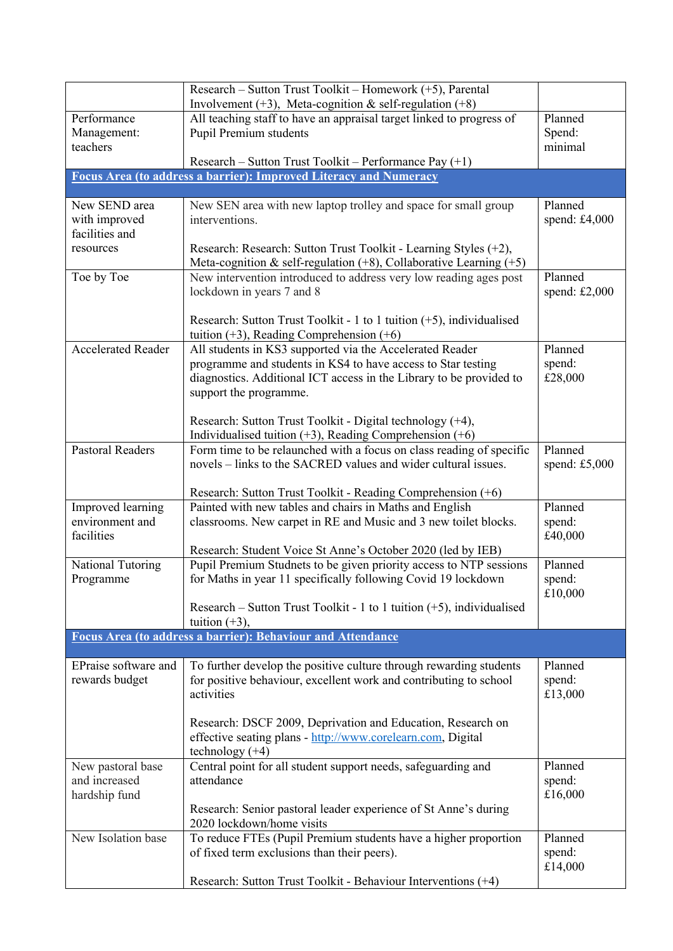|                           | Research – Sutton Trust Toolkit – Homework (+5), Parental<br>Involvement $(+3)$ , Meta-cognition & self-regulation $(+8)$                    |                   |
|---------------------------|----------------------------------------------------------------------------------------------------------------------------------------------|-------------------|
| Performance               | All teaching staff to have an appraisal target linked to progress of                                                                         | Planned           |
| Management:               | Pupil Premium students                                                                                                                       | Spend:            |
| teachers                  |                                                                                                                                              | minimal           |
|                           | Research – Sutton Trust Toolkit – Performance Pay (+1)                                                                                       |                   |
|                           | Focus Area (to address a barrier): Improved Literacy and Numeracy                                                                            |                   |
| New SEND area             | New SEN area with new laptop trolley and space for small group                                                                               | Planned           |
| with improved             | interventions.                                                                                                                               | spend: £4,000     |
| facilities and            |                                                                                                                                              |                   |
| resources                 | Research: Research: Sutton Trust Toolkit - Learning Styles (+2),                                                                             |                   |
| Toe by Toe                | Meta-cognition & self-regulation $(+8)$ , Collaborative Learning $(+5)$<br>New intervention introduced to address very low reading ages post | Planned           |
|                           | lockdown in years 7 and 8                                                                                                                    | spend: $£2,000$   |
|                           | Research: Sutton Trust Toolkit - 1 to 1 tuition $(+5)$ , individualised                                                                      |                   |
|                           | tuition $(+3)$ , Reading Comprehension $(+6)$                                                                                                |                   |
| <b>Accelerated Reader</b> | All students in KS3 supported via the Accelerated Reader                                                                                     | Planned           |
|                           | programme and students in KS4 to have access to Star testing                                                                                 | spend:            |
|                           | diagnostics. Additional ICT access in the Library to be provided to                                                                          | £28,000           |
|                           | support the programme.                                                                                                                       |                   |
|                           | Research: Sutton Trust Toolkit - Digital technology (+4),                                                                                    |                   |
|                           | Individualised tuition $(+3)$ , Reading Comprehension $(+6)$                                                                                 |                   |
| <b>Pastoral Readers</b>   | Form time to be relaunched with a focus on class reading of specific                                                                         | Planned           |
|                           | novels – links to the SACRED values and wider cultural issues.                                                                               | spend: $£5,000$   |
|                           | Research: Sutton Trust Toolkit - Reading Comprehension (+6)                                                                                  |                   |
| Improved learning         | Painted with new tables and chairs in Maths and English                                                                                      | Planned           |
| environment and           | classrooms. New carpet in RE and Music and 3 new toilet blocks.                                                                              | spend:            |
| facilities                |                                                                                                                                              | £40,000           |
|                           | Research: Student Voice St Anne's October 2020 (led by IEB)                                                                                  |                   |
| National Tutoring         | Pupil Premium Studnets to be given priority access to NTP sessions                                                                           | Planned           |
| Programme                 | for Maths in year 11 specifically following Covid 19 lockdown                                                                                | spend:<br>£10,000 |
|                           | Research – Sutton Trust Toolkit - 1 to 1 tuition $(+5)$ , individualised                                                                     |                   |
|                           | tuition $(+3)$ ,                                                                                                                             |                   |
|                           | <b>Focus Area (to address a barrier): Behaviour and Attendance</b>                                                                           |                   |
| EPraise software and      | To further develop the positive culture through rewarding students                                                                           | Planned           |
| rewards budget            | for positive behaviour, excellent work and contributing to school                                                                            | spend:            |
|                           | activities                                                                                                                                   | £13,000           |
|                           |                                                                                                                                              |                   |
|                           | Research: DSCF 2009, Deprivation and Education, Research on                                                                                  |                   |
|                           | effective seating plans - http://www.corelearn.com, Digital<br>technology $(+4)$                                                             |                   |
| New pastoral base         | Central point for all student support needs, safeguarding and                                                                                | Planned           |
| and increased             | attendance                                                                                                                                   | spend:            |
| hardship fund             |                                                                                                                                              | £16,000           |
|                           | Research: Senior pastoral leader experience of St Anne's during<br>2020 lockdown/home visits                                                 |                   |
| New Isolation base        | To reduce FTEs (Pupil Premium students have a higher proportion                                                                              | Planned           |
|                           | of fixed term exclusions than their peers).                                                                                                  | spend:            |
|                           |                                                                                                                                              | £14,000           |
|                           | Research: Sutton Trust Toolkit - Behaviour Interventions (+4)                                                                                |                   |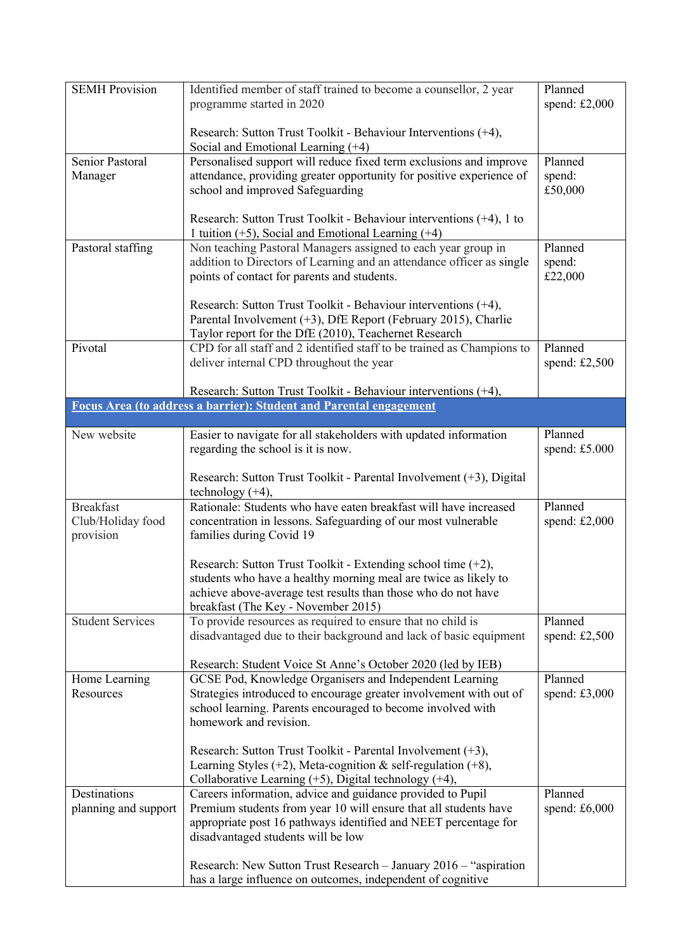| <b>SEMH Provision</b>   | Identified member of staff trained to become a counsellor, 2 year<br>programme started in 2020                                    | Planned<br>spend: $£2,000$ |
|-------------------------|-----------------------------------------------------------------------------------------------------------------------------------|----------------------------|
|                         | Research: Sutton Trust Toolkit - Behaviour Interventions (+4),<br>Social and Emotional Learning $(+4)$                            |                            |
| Senior Pastoral         | Personalised support will reduce fixed term exclusions and improve                                                                | Planned                    |
| Manager                 | attendance, providing greater opportunity for positive experience of                                                              | spend:                     |
|                         | school and improved Safeguarding                                                                                                  | £50,000                    |
|                         | Research: Sutton Trust Toolkit - Behaviour interventions $(+4)$ , 1 to<br>1 tuition $(+5)$ , Social and Emotional Learning $(+4)$ |                            |
| Pastoral staffing       | Non teaching Pastoral Managers assigned to each year group in                                                                     | Planned                    |
|                         | addition to Directors of Learning and an attendance officer as single                                                             | spend:                     |
|                         | points of contact for parents and students.                                                                                       | £22,000                    |
|                         |                                                                                                                                   |                            |
|                         | Research: Sutton Trust Toolkit - Behaviour interventions (+4),<br>Parental Involvement (+3), DfE Report (February 2015), Charlie  |                            |
|                         | Taylor report for the DfE (2010), Teachernet Research                                                                             |                            |
| Pivotal                 | CPD for all staff and 2 identified staff to be trained as Champions to                                                            | Planned                    |
|                         | deliver internal CPD throughout the year                                                                                          | spend: $£2,500$            |
|                         |                                                                                                                                   |                            |
|                         | Research: Sutton Trust Toolkit - Behaviour interventions (+4),                                                                    |                            |
|                         | <b>Focus Area (to address a barrier): Student and Parental engagement</b>                                                         |                            |
| New website             | Easier to navigate for all stakeholders with updated information                                                                  | Planned                    |
|                         | regarding the school is it is now.                                                                                                | spend: £5.000              |
|                         |                                                                                                                                   |                            |
|                         | Research: Sutton Trust Toolkit - Parental Involvement (+3), Digital<br>technology $(+4)$ ,                                        |                            |
| <b>Breakfast</b>        | Rationale: Students who have eaten breakfast will have increased                                                                  | Planned                    |
| Club/Holiday food       | concentration in lessons. Safeguarding of our most vulnerable                                                                     | spend: $£2,000$            |
| provision               | families during Covid 19                                                                                                          |                            |
|                         |                                                                                                                                   |                            |
|                         | Research: Sutton Trust Toolkit - Extending school time $(+2)$ ,                                                                   |                            |
|                         | students who have a healthy morning meal are twice as likely to                                                                   |                            |
|                         | achieve above-average test results than those who do not have<br>breakfast (The Key - November 2015)                              |                            |
| <b>Student Services</b> | To provide resources as required to ensure that no child is                                                                       | Planned                    |
|                         | disadvantaged due to their background and lack of basic equipment                                                                 | spend: $£2,500$            |
|                         |                                                                                                                                   |                            |
|                         | Research: Student Voice St Anne's October 2020 (led by IEB)                                                                       |                            |
| Home Learning           | GCSE Pod, Knowledge Organisers and Independent Learning                                                                           | Planned                    |
| Resources               | Strategies introduced to encourage greater involvement with out of                                                                | spend: $£3,000$            |
|                         | school learning. Parents encouraged to become involved with<br>homework and revision.                                             |                            |
|                         |                                                                                                                                   |                            |
|                         | Research: Sutton Trust Toolkit - Parental Involvement $(+3)$ ,                                                                    |                            |
|                         | Learning Styles $(+2)$ , Meta-cognition & self-regulation $(+8)$ ,                                                                |                            |
|                         | Collaborative Learning $(+5)$ , Digital technology $(+4)$ ,                                                                       |                            |
| Destinations            | Careers information, advice and guidance provided to Pupil                                                                        | Planned                    |
| planning and support    | Premium students from year 10 will ensure that all students have                                                                  | spend: $£6,000$            |
|                         | appropriate post 16 pathways identified and NEET percentage for                                                                   |                            |
|                         | disadvantaged students will be low                                                                                                |                            |
|                         | Research: New Sutton Trust Research - January 2016 - "aspiration"                                                                 |                            |
|                         | has a large influence on outcomes, independent of cognitive                                                                       |                            |